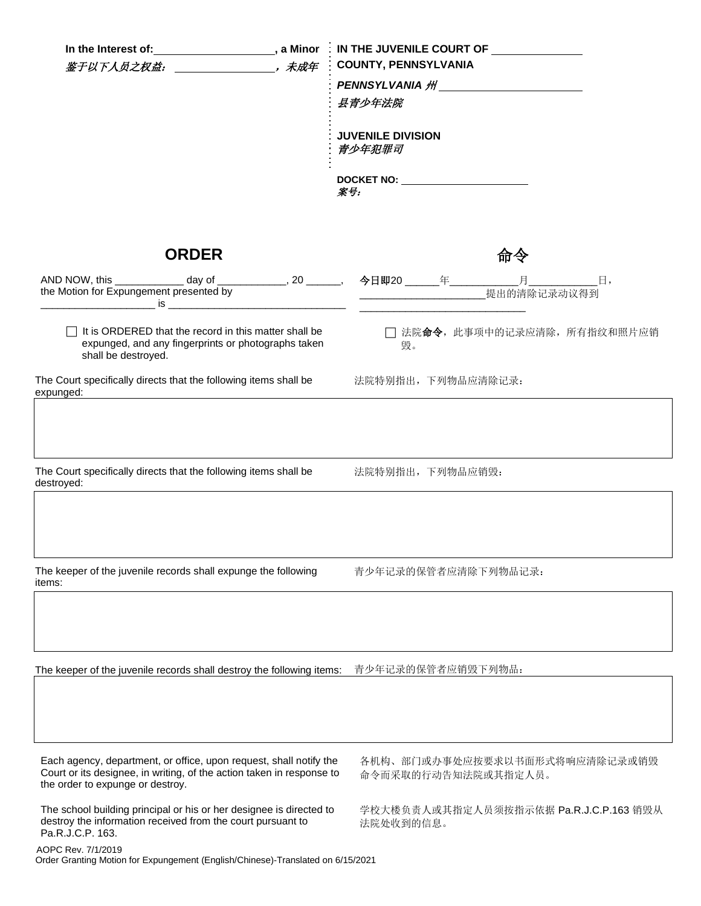| In the Interest of: _____________________, a Minor<br>鉴于以下人员之权益: ______________________, 未成年                                                                                    | $\blacksquare$ IN THE JUVENILE COURT OF $\blacksquare$<br><b>COUNTY, PENNSYLVANIA</b><br>县青少年法院                                                      |  |  |
|---------------------------------------------------------------------------------------------------------------------------------------------------------------------------------|------------------------------------------------------------------------------------------------------------------------------------------------------|--|--|
|                                                                                                                                                                                 | <b>JUVENILE DIVISION</b><br>青少年犯罪司<br>DOCKET NO: WE ARRIVE THE STATE OF THE STATE OF THE STATE OF THE STATE OF THE STATE OF THE STATE OF THE STATE O |  |  |
|                                                                                                                                                                                 | 案号:                                                                                                                                                  |  |  |
| <b>ORDER</b>                                                                                                                                                                    | 命令                                                                                                                                                   |  |  |
| AND NOW, this _____________ day of ______________, 20 _______,  今日即20 ______年_____________月_____________日,<br>the Motion for Expungement presented by                           |                                                                                                                                                      |  |  |
| It is ORDERED that the record in this matter shall be<br>expunged, and any fingerprints or photographs taken<br>shall be destroyed.                                             | □ 法院命令, 此事项中的记录应清除, 所有指纹和照片应销<br>毁。                                                                                                                  |  |  |
| The Court specifically directs that the following items shall be<br>expunged:<br><u> 1989 - Johann Stein, mars et al. (b. 1989)</u>                                             | 法院特别指出,下列物品应清除记录:                                                                                                                                    |  |  |
| The Court specifically directs that the following items shall be<br>destroyed:                                                                                                  | 法院特别指出, 下列物品应销毁:                                                                                                                                     |  |  |
|                                                                                                                                                                                 |                                                                                                                                                      |  |  |
| The keeper of the juvenile records shall expunge the following<br>items:                                                                                                        | 青少年记录的保管者应清除下列物品记录:                                                                                                                                  |  |  |
|                                                                                                                                                                                 |                                                                                                                                                      |  |  |
| The keeper of the juvenile records shall destroy the following items:                                                                                                           | 青少年记录的保管者应销毁下列物品:                                                                                                                                    |  |  |
|                                                                                                                                                                                 |                                                                                                                                                      |  |  |
| Each agency, department, or office, upon request, shall notify the<br>Court or its designee, in writing, of the action taken in response to<br>the order to expunge or destroy. | 各机构、部门或办事处应按要求以书面形式将响应清除记录或销毁<br>命令而采取的行动告知法院或其指定人员。                                                                                                 |  |  |
| The school building principal or his or her designee is directed to<br>destroy the information received from the court pursuant to<br>Pa.R.J.C.P. 163.                          | 学校大楼负责人或其指定人员须按指示依据 Pa.R.J.C.P.163 销毁从<br>法院处收到的信息。                                                                                                  |  |  |

AOPC Rev. 7/1/2019 Order Granting Motion for Expungement (English/Chinese)-Translated on 6/15/2021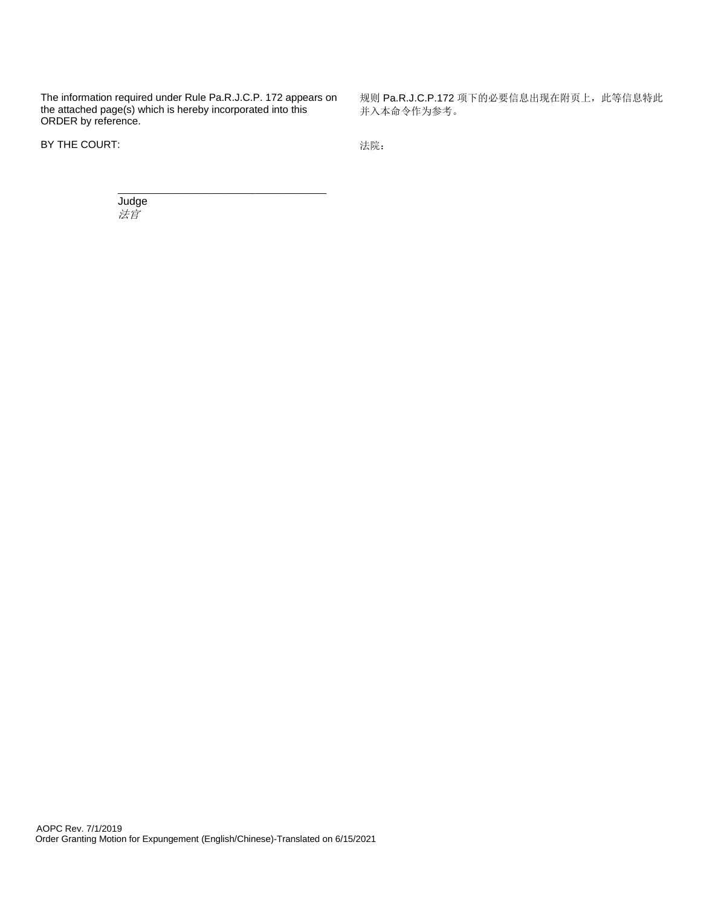The information required under Rule Pa.R.J.C.P. 172 appears on the attached page(s) which is hereby incorporated into this ORDER by reference.

 $\overline{\phantom{a}}$  , and the set of the set of the set of the set of the set of the set of the set of the set of the set of the set of the set of the set of the set of the set of the set of the set of the set of the set of the s

BY THE COURT: http://www.facebook.com/default.com/default.com/default.com/default.com/default.com/default.com/

规则 Pa.R.J.C.P.172 项下的必要信息出现在附页上,此等信息特此 并入本命令作为参考。

Judge 法官